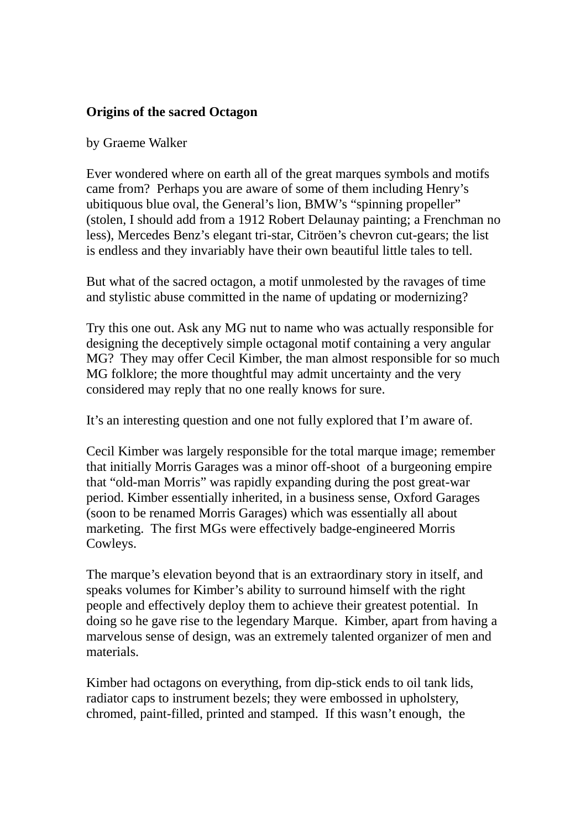## **Origins of the sacred Octagon**

## by Graeme Walker

Ever wondered where on earth all of the great marques symbols and motifs came from? Perhaps you are aware of some of them including Henry's ubitiquous blue oval, the General's lion, BMW's "spinning propeller" (stolen, I should add from a 1912 Robert Delaunay painting; a Frenchman no less), Mercedes Benz's elegant tri-star, Citröen's chevron cut-gears; the list is endless and they invariably have their own beautiful little tales to tell.

But what of the sacred octagon, a motif unmolested by the ravages of time and stylistic abuse committed in the name of updating or modernizing?

Try this one out. Ask any MG nut to name who was actually responsible for designing the deceptively simple octagonal motif containing a very angular MG? They may offer Cecil Kimber, the man almost responsible for so much MG folklore; the more thoughtful may admit uncertainty and the very considered may reply that no one really knows for sure.

It's an interesting question and one not fully explored that I'm aware of.

Cecil Kimber was largely responsible for the total marque image; remember that initially Morris Garages was a minor off-shoot of a burgeoning empire that "old-man Morris" was rapidly expanding during the post great-war period. Kimber essentially inherited, in a business sense, Oxford Garages (soon to be renamed Morris Garages) which was essentially all about marketing. The first MGs were effectively badge-engineered Morris Cowleys.

The marque's elevation beyond that is an extraordinary story in itself, and speaks volumes for Kimber's ability to surround himself with the right people and effectively deploy them to achieve their greatest potential. In doing so he gave rise to the legendary Marque. Kimber, apart from having a marvelous sense of design, was an extremely talented organizer of men and materials.

Kimber had octagons on everything, from dip-stick ends to oil tank lids, radiator caps to instrument bezels; they were embossed in upholstery, chromed, paint-filled, printed and stamped. If this wasn't enough, the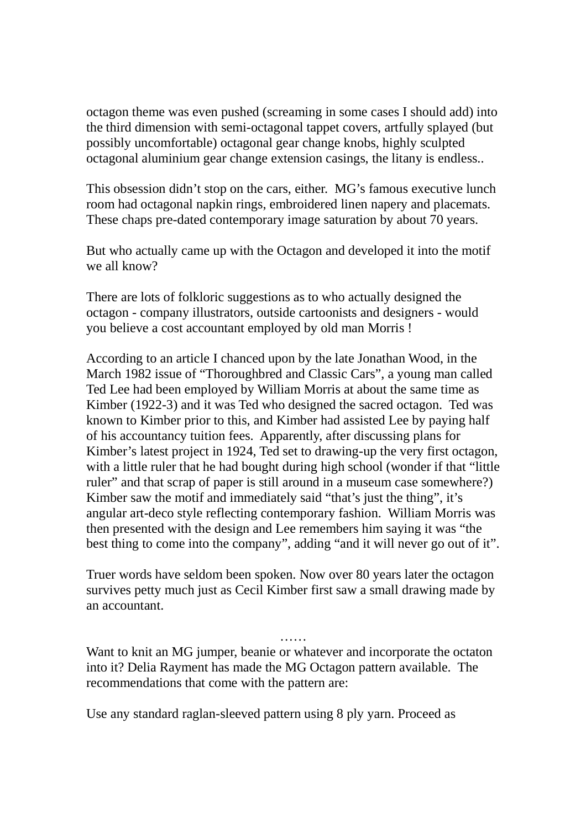octagon theme was even pushed (screaming in some cases I should add) into the third dimension with semi-octagonal tappet covers, artfully splayed (but possibly uncomfortable) octagonal gear change knobs, highly sculpted octagonal aluminium gear change extension casings, the litany is endless..

This obsession didn't stop on the cars, either. MG's famous executive lunch room had octagonal napkin rings, embroidered linen napery and placemats. These chaps pre-dated contemporary image saturation by about 70 years.

But who actually came up with the Octagon and developed it into the motif we all know?

There are lots of folkloric suggestions as to who actually designed the octagon - company illustrators, outside cartoonists and designers - would you believe a cost accountant employed by old man Morris !

According to an article I chanced upon by the late Jonathan Wood, in the March 1982 issue of "Thoroughbred and Classic Cars", a young man called Ted Lee had been employed by William Morris at about the same time as Kimber (1922-3) and it was Ted who designed the sacred octagon. Ted was known to Kimber prior to this, and Kimber had assisted Lee by paying half of his accountancy tuition fees. Apparently, after discussing plans for Kimber's latest project in 1924, Ted set to drawing-up the very first octagon, with a little ruler that he had bought during high school (wonder if that "little" ruler" and that scrap of paper is still around in a museum case somewhere?) Kimber saw the motif and immediately said "that's just the thing", it's angular art-deco style reflecting contemporary fashion. William Morris was then presented with the design and Lee remembers him saying it was "the best thing to come into the company", adding "and it will never go out of it".

Truer words have seldom been spoken. Now over 80 years later the octagon survives petty much just as Cecil Kimber first saw a small drawing made by an accountant.

……

Want to knit an MG jumper, beanie or whatever and incorporate the octaton into it? Delia Rayment has made the MG Octagon pattern available. The recommendations that come with the pattern are:

Use any standard raglan-sleeved pattern using 8 ply yarn. Proceed as